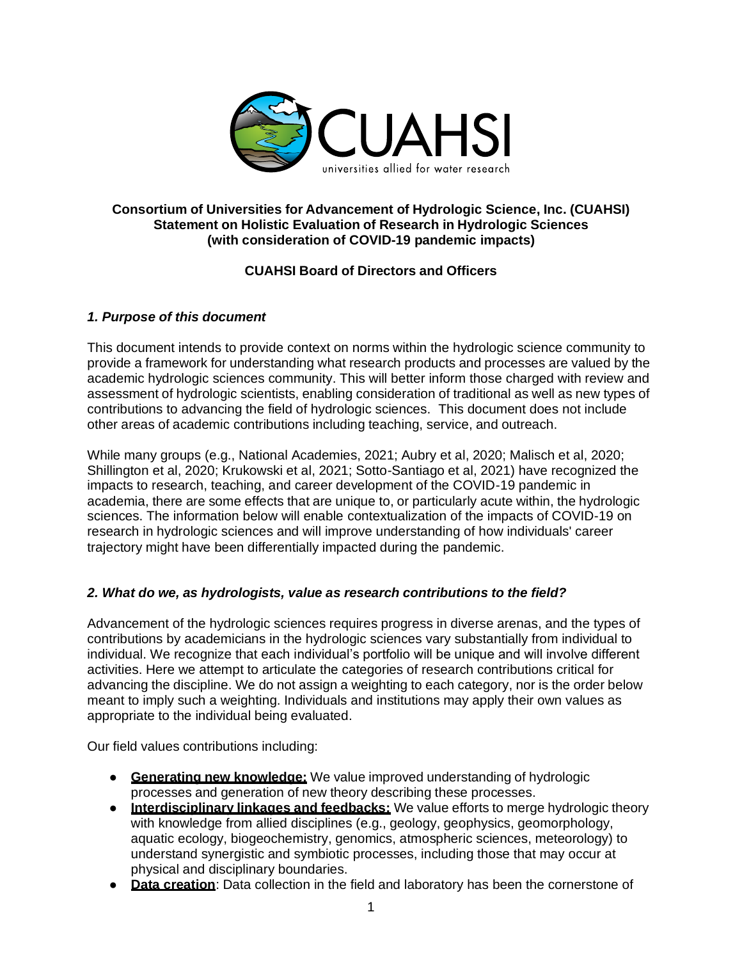

### **Consortium of Universities for Advancement of Hydrologic Science, Inc. (CUAHSI) Statement on Holistic Evaluation of Research in Hydrologic Sciences (with consideration of COVID-19 pandemic impacts)**

# **CUAHSI Board of Directors and Officers**

## *1. Purpose of this document*

This document intends to provide context on norms within the hydrologic science community to provide a framework for understanding what research products and processes are valued by the academic hydrologic sciences community. This will better inform those charged with review and assessment of hydrologic scientists, enabling consideration of traditional as well as new types of contributions to advancing the field of hydrologic sciences. This document does not include other areas of academic contributions including teaching, service, and outreach.

While many groups (e.g., National Academies, 2021; Aubry et al, 2020; Malisch et al, 2020; Shillington et al, 2020; Krukowski et al, 2021; Sotto-Santiago et al, 2021) have recognized the impacts to research, teaching, and career development of the COVID-19 pandemic in academia, there are some effects that are unique to, or particularly acute within, the hydrologic sciences. The information below will enable contextualization of the impacts of COVID-19 on research in hydrologic sciences and will improve understanding of how individuals' career trajectory might have been differentially impacted during the pandemic.

## *2. What do we, as hydrologists, value as research contributions to the field?*

Advancement of the hydrologic sciences requires progress in diverse arenas, and the types of contributions by academicians in the hydrologic sciences vary substantially from individual to individual. We recognize that each individual's portfolio will be unique and will involve different activities. Here we attempt to articulate the categories of research contributions critical for advancing the discipline. We do not assign a weighting to each category, nor is the order below meant to imply such a weighting. Individuals and institutions may apply their own values as appropriate to the individual being evaluated.

Our field values contributions including:

- **Generating new knowledge:** We value improved understanding of hydrologic processes and generation of new theory describing these processes.
- **Interdisciplinary linkages and feedbacks:** We value efforts to merge hydrologic theory with knowledge from allied disciplines (e.g., geology, geophysics, geomorphology, aquatic ecology, biogeochemistry, genomics, atmospheric sciences, meteorology) to understand synergistic and symbiotic processes, including those that may occur at physical and disciplinary boundaries.
- **Data creation**: Data collection in the field and laboratory has been the cornerstone of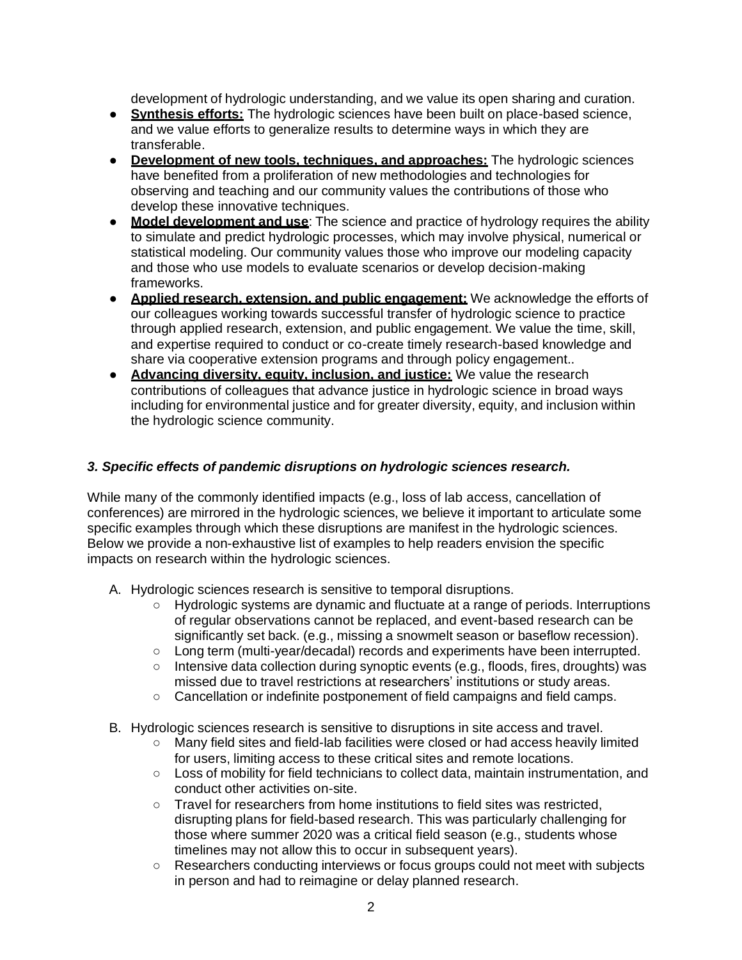development of hydrologic understanding, and we value its open sharing and curation.

- **Synthesis efforts:** The hydrologic sciences have been built on place-based science, and we value efforts to generalize results to determine ways in which they are transferable.
- **Development of new tools, techniques, and approaches:** The hydrologic sciences have benefited from a proliferation of new methodologies and technologies for observing and teaching and our community values the contributions of those who develop these innovative techniques.
- **Model development and use**: The science and practice of hydrology requires the ability to simulate and predict hydrologic processes, which may involve physical, numerical or statistical modeling. Our community values those who improve our modeling capacity and those who use models to evaluate scenarios or develop decision-making frameworks.
- **Applied research, extension, and public engagement:** We acknowledge the efforts of our colleagues working towards successful transfer of hydrologic science to practice through applied research, extension, and public engagement. We value the time, skill, and expertise required to conduct or co-create timely research-based knowledge and share via cooperative extension programs and through policy engagement..
- **Advancing diversity, equity, inclusion, and justice:** We value the research contributions of colleagues that advance justice in hydrologic science in broad ways including for environmental justice and for greater diversity, equity, and inclusion within the hydrologic science community.

### *3. Specific effects of pandemic disruptions on hydrologic sciences research.*

While many of the commonly identified impacts (e.g., loss of lab access, cancellation of conferences) are mirrored in the hydrologic sciences, we believe it important to articulate some specific examples through which these disruptions are manifest in the hydrologic sciences. Below we provide a non-exhaustive list of examples to help readers envision the specific impacts on research within the hydrologic sciences.

- A. Hydrologic sciences research is sensitive to temporal disruptions.
	- Hydrologic systems are dynamic and fluctuate at a range of periods. Interruptions of regular observations cannot be replaced, and event-based research can be significantly set back. (e.g., missing a snowmelt season or baseflow recession).
	- Long term (multi-year/decadal) records and experiments have been interrupted.
	- Intensive data collection during synoptic events (e.g., floods, fires, droughts) was missed due to travel restrictions at researchers' institutions or study areas.
	- Cancellation or indefinite postponement of field campaigns and field camps.
- B. Hydrologic sciences research is sensitive to disruptions in site access and travel.
	- Many field sites and field-lab facilities were closed or had access heavily limited for users, limiting access to these critical sites and remote locations.
	- Loss of mobility for field technicians to collect data, maintain instrumentation, and conduct other activities on-site.
	- Travel for researchers from home institutions to field sites was restricted, disrupting plans for field-based research. This was particularly challenging for those where summer 2020 was a critical field season (e.g., students whose timelines may not allow this to occur in subsequent years).
	- Researchers conducting interviews or focus groups could not meet with subjects in person and had to reimagine or delay planned research.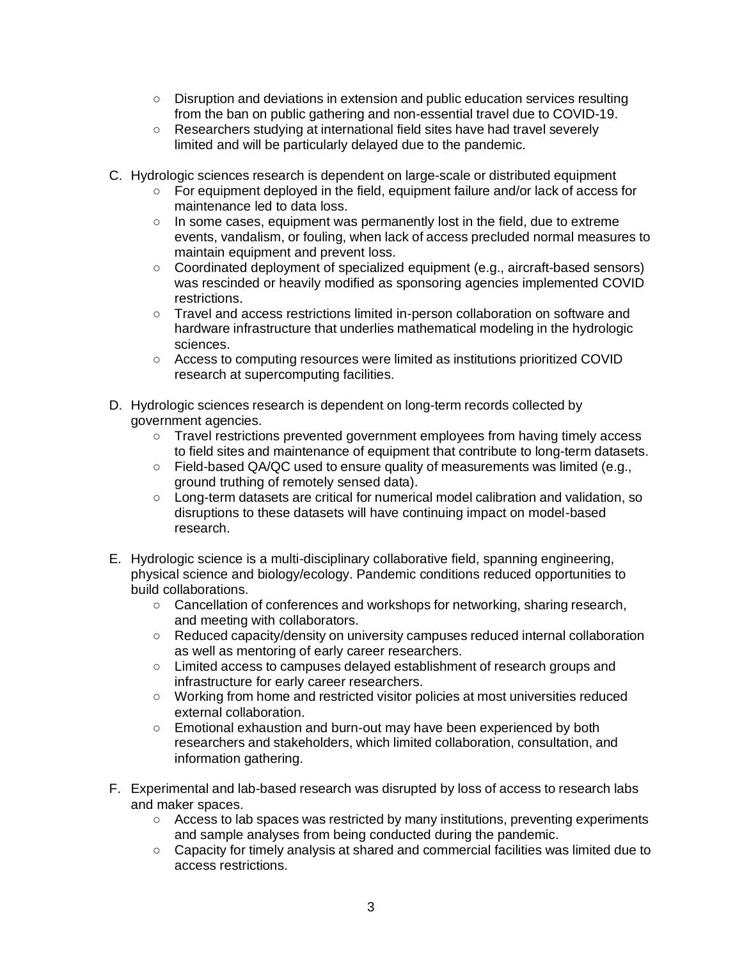- Disruption and deviations in extension and public education services resulting from the ban on public gathering and non-essential travel due to COVID-19.
- Researchers studying at international field sites have had travel severely limited and will be particularly delayed due to the pandemic.
- C. Hydrologic sciences research is dependent on large-scale or distributed equipment
	- For equipment deployed in the field, equipment failure and/or lack of access for maintenance led to data loss.
	- In some cases, equipment was permanently lost in the field, due to extreme events, vandalism, or fouling, when lack of access precluded normal measures to maintain equipment and prevent loss.
	- Coordinated deployment of specialized equipment (e.g., aircraft-based sensors) was rescinded or heavily modified as sponsoring agencies implemented COVID restrictions.
	- Travel and access restrictions limited in-person collaboration on software and hardware infrastructure that underlies mathematical modeling in the hydrologic sciences.
	- Access to computing resources were limited as institutions prioritized COVID research at supercomputing facilities.
- D. Hydrologic sciences research is dependent on long-term records collected by government agencies.
	- Travel restrictions prevented government employees from having timely access to field sites and maintenance of equipment that contribute to long-term datasets.
	- Field-based QA/QC used to ensure quality of measurements was limited (e.g., ground truthing of remotely sensed data).
	- Long-term datasets are critical for numerical model calibration and validation, so disruptions to these datasets will have continuing impact on model-based research.
- E. Hydrologic science is a multi-disciplinary collaborative field, spanning engineering, physical science and biology/ecology. Pandemic conditions reduced opportunities to build collaborations.
	- Cancellation of conferences and workshops for networking, sharing research, and meeting with collaborators.
	- Reduced capacity/density on university campuses reduced internal collaboration as well as mentoring of early career researchers.
	- Limited access to campuses delayed establishment of research groups and infrastructure for early career researchers.
	- Working from home and restricted visitor policies at most universities reduced external collaboration.
	- Emotional exhaustion and burn-out may have been experienced by both researchers and stakeholders, which limited collaboration, consultation, and information gathering.
- F. Experimental and lab-based research was disrupted by loss of access to research labs and maker spaces.
	- Access to lab spaces was restricted by many institutions, preventing experiments and sample analyses from being conducted during the pandemic.
	- Capacity for timely analysis at shared and commercial facilities was limited due to access restrictions.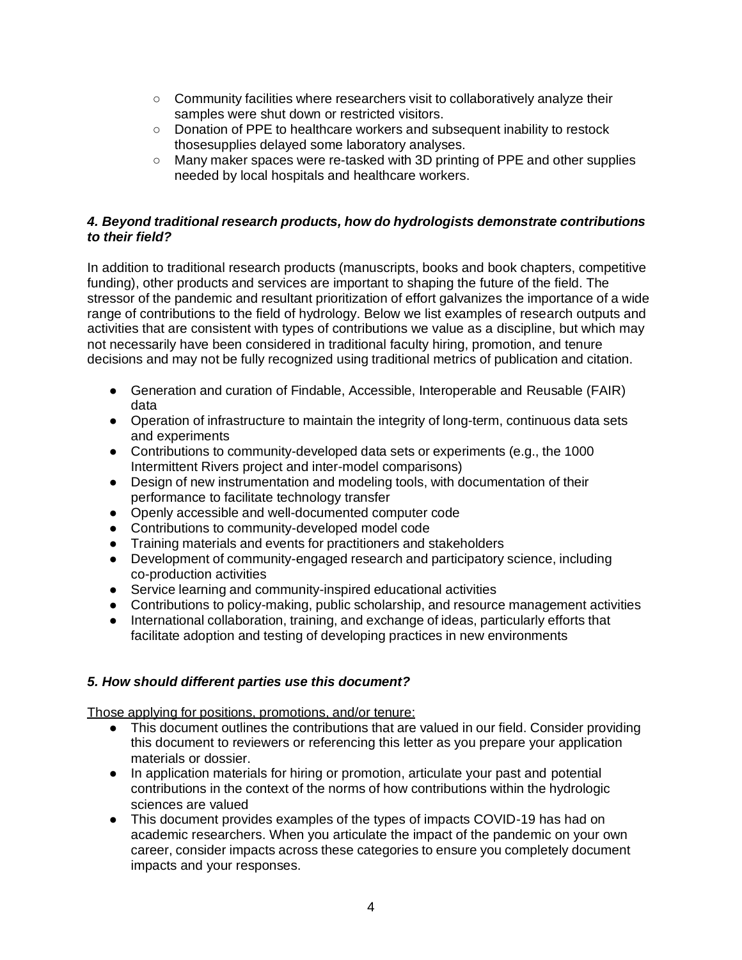- Community facilities where researchers visit to collaboratively analyze their samples were shut down or restricted visitors.
- Donation of PPE to healthcare workers and subsequent inability to restock thosesupplies delayed some laboratory analyses.
- Many maker spaces were re-tasked with 3D printing of PPE and other supplies needed by local hospitals and healthcare workers.

### *4. Beyond traditional research products, how do hydrologists demonstrate contributions to their field?*

In addition to traditional research products (manuscripts, books and book chapters, competitive funding), other products and services are important to shaping the future of the field. The stressor of the pandemic and resultant prioritization of effort galvanizes the importance of a wide range of contributions to the field of hydrology. Below we list examples of research outputs and activities that are consistent with types of contributions we value as a discipline, but which may not necessarily have been considered in traditional faculty hiring, promotion, and tenure decisions and may not be fully recognized using traditional metrics of publication and citation.

- Generation and curation of Findable, Accessible, Interoperable and Reusable (FAIR) data
- Operation of infrastructure to maintain the integrity of long-term, continuous data sets and experiments
- Contributions to community-developed data sets or experiments (e.g., the 1000 Intermittent Rivers project and inter-model comparisons)
- Design of new instrumentation and modeling tools, with documentation of their performance to facilitate technology transfer
- Openly accessible and well-documented computer code
- Contributions to community-developed model code
- Training materials and events for practitioners and stakeholders
- Development of community-engaged research and participatory science, including co-production activities
- Service learning and community-inspired educational activities
- Contributions to policy-making, public scholarship, and resource management activities
- International collaboration, training, and exchange of ideas, particularly efforts that facilitate adoption and testing of developing practices in new environments

### *5. How should different parties use this document?*

Those applying for positions, promotions, and/or tenure:

- This document outlines the contributions that are valued in our field. Consider providing this document to reviewers or referencing this letter as you prepare your application materials or dossier.
- In application materials for hiring or promotion, articulate your past and potential contributions in the context of the norms of how contributions within the hydrologic sciences are valued
- This document provides examples of the types of impacts COVID-19 has had on academic researchers. When you articulate the impact of the pandemic on your own career, consider impacts across these categories to ensure you completely document impacts and your responses.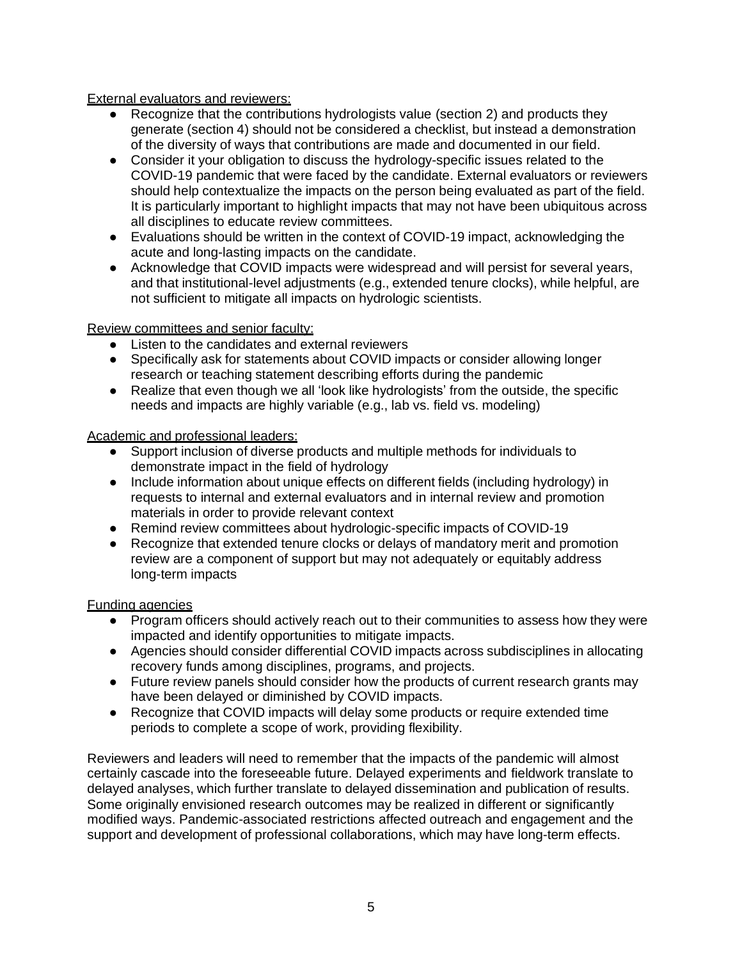External evaluators and reviewers:

- Recognize that the contributions hydrologists value (section 2) and products they generate (section 4) should not be considered a checklist, but instead a demonstration of the diversity of ways that contributions are made and documented in our field.
- Consider it your obligation to discuss the hydrology-specific issues related to the COVID-19 pandemic that were faced by the candidate. External evaluators or reviewers should help contextualize the impacts on the person being evaluated as part of the field. It is particularly important to highlight impacts that may not have been ubiquitous across all disciplines to educate review committees.
- Evaluations should be written in the context of COVID-19 impact, acknowledging the acute and long-lasting impacts on the candidate.
- Acknowledge that COVID impacts were widespread and will persist for several years, and that institutional-level adjustments (e.g., extended tenure clocks), while helpful, are not sufficient to mitigate all impacts on hydrologic scientists.

Review committees and senior faculty:

- Listen to the candidates and external reviewers
- Specifically ask for statements about COVID impacts or consider allowing longer research or teaching statement describing efforts during the pandemic
- Realize that even though we all 'look like hydrologists' from the outside, the specific needs and impacts are highly variable (e.g., lab vs. field vs. modeling)

Academic and professional leaders:

- Support inclusion of diverse products and multiple methods for individuals to demonstrate impact in the field of hydrology
- Include information about unique effects on different fields (including hydrology) in requests to internal and external evaluators and in internal review and promotion materials in order to provide relevant context
- Remind review committees about hydrologic-specific impacts of COVID-19
- Recognize that extended tenure clocks or delays of mandatory merit and promotion review are a component of support but may not adequately or equitably address long-term impacts

Funding agencies

- Program officers should actively reach out to their communities to assess how they were impacted and identify opportunities to mitigate impacts.
- Agencies should consider differential COVID impacts across subdisciplines in allocating recovery funds among disciplines, programs, and projects.
- Future review panels should consider how the products of current research grants may have been delayed or diminished by COVID impacts.
- Recognize that COVID impacts will delay some products or require extended time periods to complete a scope of work, providing flexibility.

Reviewers and leaders will need to remember that the impacts of the pandemic will almost certainly cascade into the foreseeable future. Delayed experiments and fieldwork translate to delayed analyses, which further translate to delayed dissemination and publication of results. Some originally envisioned research outcomes may be realized in different or significantly modified ways. Pandemic-associated restrictions affected outreach and engagement and the support and development of professional collaborations, which may have long-term effects.